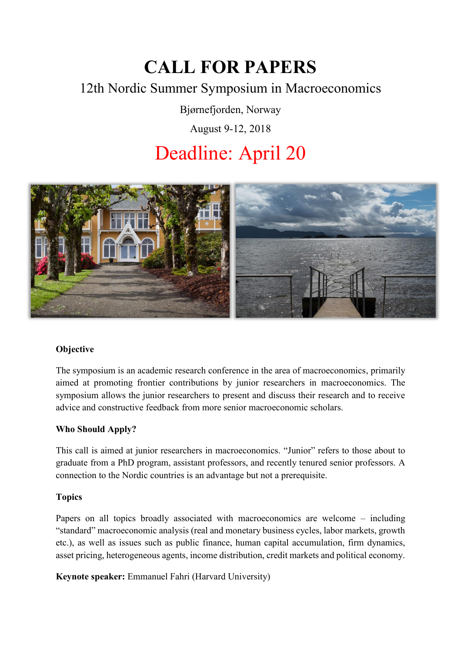# **CALL FOR PAPERS**

## 12th Nordic Summer Symposium in Macroeconomics

Bjørnefjorden, Norway

August 9-12, 2018

# Deadline: April 20



### **Objective**

The symposium is an academic research conference in the area of macroeconomics, primarily aimed at promoting frontier contributions by junior researchers in macroeconomics. The symposium allows the junior researchers to present and discuss their research and to receive advice and constructive feedback from more senior macroeconomic scholars.

### **Who Should Apply?**

This call is aimed at junior researchers in macroeconomics. "Junior" refers to those about to graduate from a PhD program, assistant professors, and recently tenured senior professors. A connection to the Nordic countries is an advantage but not a prerequisite.

#### **Topics**

Papers on all topics broadly associated with macroeconomics are welcome – including "standard" macroeconomic analysis (real and monetary business cycles, labor markets, growth etc.), as well as issues such as public finance, human capital accumulation, firm dynamics, asset pricing, heterogeneous agents, income distribution, credit markets and political economy.

**Keynote speaker:** Emmanuel Fahri (Harvard University)